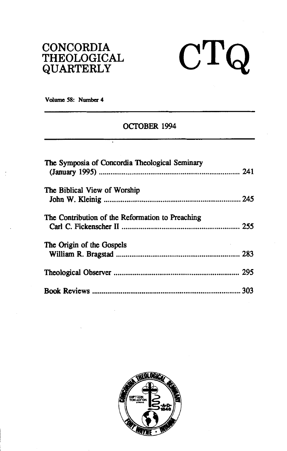## **CONCORDIA THEOLOGICAL QUARTERLY**

# $CTQ$

**Volume 58: Number 4** 

## **OCTOBER 1994**

| The Symposia of Concordia Theological Seminary   |  |
|--------------------------------------------------|--|
| The Biblical View of Worship                     |  |
|                                                  |  |
| The Contribution of the Reformation to Preaching |  |
|                                                  |  |
| The Origin of the Gospels                        |  |
|                                                  |  |
|                                                  |  |
|                                                  |  |

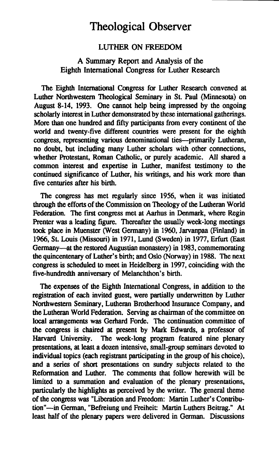## **Theological Observer**

### LUTHER ON **FREEDOM**

#### **A Summary** Report and Analysis of the Eighth International Congress for Luther Research

The Eighth International Congress for Luther Research convened at Luther Northwestern Theological Seminary in St. Paul (Minnesota) on August 8-14, 1993. One cannot help being impressed by the ongoing scholarly interest in Luther demonstrated by these international gatherings. More than one hundred and fifty participants from every continent of the world and twenty-five different countries were present for the eighth congress, representing various denominational ties--primarily Lutheran, no doubt, but including many Luther scholars with other connections, whether Protestant, Roman Catholic, or purely academic. All shared a common interest and expertise in Luther, manifest testimony to the continued significance of Luther, his writings, and his work more than five centuries after his birth.

The congress has met regularly since 1956, when it was initiated through the efforts of the Commission **on** Theology of the Lutheran World Federation. The first congress met at Aarhus in Denmark, where Regin Prenter was a leading figure. Thereafter the usually week-long meetings took place in Muenster (West Germany) in 1960, **Jarvanpaa** (Finland) in 1966, St. Louis (Missouri) in 1971, Lund (Sweden) in 1977, Erfurt (East Germany-at the restored Augustian monastery) in 1983, commemorating the quincentenary of Luther's birth; and Oslo (Norway) in 1988. The next congress is scheduled to meet in Heidelberg in 1997, coinciding with the five-hundredth anniversary of Melanchthon's birth.

The expenses of the Eighth International Congress, in addition to the registration of each invited guest, were partially underwritten by Luther Northwestern Seminary, Lutheran Brotherhood Insurance Company, and the Lutheran World Federation. Serving as chairman of the committee **on**  local arrangements was Gerhard Forde. The continuation committee of the congress is chaired at present by Mark Edwards, a professor of Harvard University. The week-long program featured nine plenary The week-long program featured nine plenary presentations, at least a dozen intensive, small-group seminars devoted to individual topics (each registrant participating in the group of his choice), and a series of short presentations on sundry subjects related to the Reformation and Luther. The comments that follow herewith will be limited to a summation and evaluation of the plenary presentations, particularly the highlights as perceived by the writer. The general theme of the congress was "Liberation and Freedom: Martin Luther's Contribution"-in German, "Befreiung und Freiheit: Martin Luthers Beitrag." At least half of the plenary papers were delivered in German. Discussions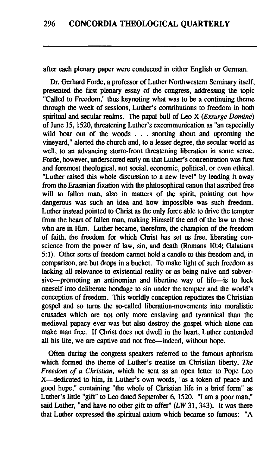after each plenary paper were conducted in either English or German.

Dr. Gerhard Forde, a professor of Luther Northwestern Seminary itself, presented the first plenary essay of the congress, addressing the topic "Called to Freedom," thus keynoting what was to be a continuing theme through the week of sessions, Luther's contributions to freedom in both spiritual and secular realms. The papal bull of Leo X (*Exsurge Domine*) of June 15, 1520, threatening Luther's excommunication as "an especially wild boar out of the woods . . . snorting about and uprooting the vineyard," alerted the church and, to a lesser degree, the secular world as well, to an advancing storm-front threatening liberation in some sense. Forde, however, underscored early on that Luther's concentration was first and foremost theological, not social, economic, political, or even ethical. "Luther raised this whole discussion to a new level" by leading it away from the Erasmian fixation with the philosophical canon that ascribed free will to fallen man, also in matters of the spirit, pointing out how dangerous was such an idea and how impossible was such freedom. Luther instead pointed to Christ as the only force able to drive the tempter from the heart of fallen man, making Himself the end of the law to those who **are** in Him. Luther became, therefore, the champion of the freedom of faith, the freedom for which Christ has set us free, liberating conscience from the power of law, sin, and death (Romans 10:4; Galatians 5: 1). Other sorts of freedom cannot hold a candle to this freedom and, in comparison, are but drops in a bucket. To make light of such freedom as lacking all relevance to existential reality or as being naive and subversive-promoting an antinomian and libertine way of life-is to lock oneself into deliberate bondage to sin under the tempter and the world's conception of freedom. This worldly conception repudiates the Christian gospel and so turns the so-called liberation-movements into moralistic crusades which **are** not only more enslaving and tyrannical than the medieval papacy ever was but also destroy the gospel which alone can make man free. If Christ does not dwell in the heart, Luther contended all his life, we **are** captive and not free-indeed, without hope.

Often during the congress speakers referred to the famous aphorism which formed the theme of Luther's treatise on Christian liberty, The Freedom of a Christian, which he sent as an open letter to Pope Leo X-dedicated to him, in Luther's own words, "as a token of peace and good hope," containing "the whole of Christian life in a brief form" as Luther's little "gift" to Leo dated September 6, 1520. "I am a poor man," said Luther, "and have no other gift to offer"  $(LW 31, 343)$ . It was there that Luther expressed the spiritual axiom which became so famous: **"A**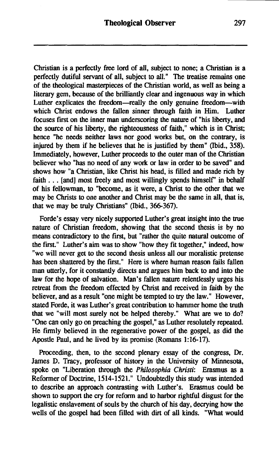Christian is a perfectly free lord of all, subject to none; a Christian is a perfectly dutiful servant of all, subject to all." The treatise remains one of the theological masterpieces of the Christian world, as well as being a literary gem, because of the brilliantly clear and ingenuous way in which Luther explicates the freedom-really the only genuine freedom-with which Christ endows the fallen sinner through faith in Him. Luther focuses first on the inner man underscoring the nature of "his liberty, and the source of his liberty, the righteousness of faith," which is in Christ; hence "he needs neither laws nor good works but, on the contrary, is injured by them if he believes that he is justified by them" (Ibid., **358).**  Immediately, however, Luther proceeds to the outer man of the Christian believer who "has no need of any work or law in order to be saved" and shows how "a Christian, like Christ his head, is filled and made rich by faith . . . [and] most freely and most willingly spends himself' in behalf of his fellowman, to "become, as it were, a Christ to the other that we may be Christs to one another and Christ may be the same in all, that is, that we may be truly Christians" (Ibid., **366-367).** 

Forde's essay very nicely supported Luther's great insight into the true nature of Christian freedom, showing that the second thesis is by no means contradictory to the first, but "rather the quite natural outcome of the first." Luther's aim was to show "how they fit together," indeed, how "we will never get to the second thesis unless all our moralistic pretense has been shattered by the first." Here is where human reason fails fallen man utterly, for it constantly directs and argues him back to and into the law for the hope of salvation. Man's fallen nature relentlessly urges his retreat from the freedom effected by Christ and received in faith by the believer, and as a result "one might be tempted to **try** the law." However, stated Forde, it was Luther's great contribution to hammer home the truth that we "will most surely not be helped thereby." What are we to do? "One can only go on preaching the gospel," as Luther resolutely repeated. He firmly believed in the regenerative power of the gospel, as did the Apostle Paul, and he lived by its promise (Romans **1:16-17).** 

Proceeding, then, to the second plenary essay of the congress, Dr. James D. Tracy, professor of history in the University of Minnesota, spoke on "Liberation through the *Philosophia Christi:* Erasmus as a Reformer of Doctrine, **1514- 152** 1." Undoubtedly this study was intended to describe an approach contrasting with Luther's. Erasmus could be shown to support the cry for reform and to harbor rightful disgust for the legalistic enslavement of souls by the church of his day, decrying how the wells of the gospel had been filled with dirt of all kinds. "What would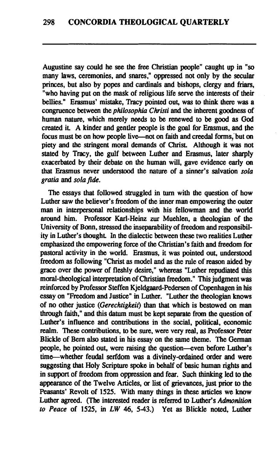Augustine say could he see the free Christian people" caught up in "so many laws, ceremonies, and snares," oppressed not only by the secular princes, but also by popes and cardinals and bishops, clergy and friars, "who having put on the **mask** of religious life serve the interests of their bellies." Erasmus' mistake, Tracy pointed out, **was** to think there was a congruence between the *philosophia Christi* and the inherent goodness of human **nature,** which merely needs to be renewed to be good as God created it. A kinder and gentler people is the goal for Erasmus, and the focus must be on how people live—not on faith and creedal forms, but on piety and the stringent moral demands of Christ. Although it was not stated by Tracy, the gulf between Luther and Erasmus, later sharply exacerbated by their debate on the human will, gave evidence early on that Erasmus never understood the nature of a sinner's salvation *sola gratia* and *sola* fide.

The essays that followed struggled in **turn** with the question of how Luther saw the believer's freedom of the inner man empowering the outer man in interpersonal relationships with his fellowman and the world around him. Professor Karl-Heinz **zur** Muehlen, a theologian of the University of Bonn, stressed the inseparability of freedom and responsibility in Luther's thought. In the dialectic between these two realities Luther emphasized the empowering force of the Christian's faith and freedom for pastoral activity in **the** world. Erasmus, it was pointed out, understood freedom as following "Christ as model and as the rule of reason aided by grace over the power of fleshly desire," whereas "Luther repudiated this moral-theological interpretation of Christian freedom." This judgment was reinforced by Professor Steffen Kjeldgaard-Pedersen of Copenhagen in his essay on "Freedom and Justice" in Luther. "Luther the theologian knows of no other justice *(Gerechtigkeit)* than that which is bestowed on man through faith," and this datum must be kept separate from the question of Luther's influence and contributions in the social, political, economic realm. These contributions, to be sure, were very real, as Professor Peter Blickle of Bern also stated in his essay on the same theme. The German people, he pointed out, were raising the question--even before Luther's time-whether feudal serfdom was a divinely-ordained order and were suggesting that Holy Scripture spoke in behalf of basic human rights and in support of freedom from oppression and fear. Such **thinking** led to the appearance of the Twelve Articles, or list of grievances, just prior to the Peasants' Revolt of 1525. With many things in these articles we know Luther **agreed.** (The interested reader is referred *to* Luther's *Admonition to Peace* of *1525,* in LW 46, 543.) Yet as Blickle noted, Luther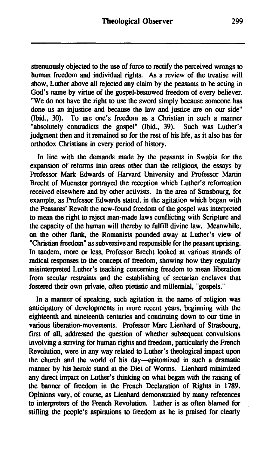strenuously objected to the use of force to rectify the perceived wrongs to human freedom and individual rights. As a review of the treatise will show, Luther above all rejected any claim by the peasants to be acting in God's name by virtue of the gospel-bestowed freedom of every believer. "We do not have the right to use the sword simply because someone has done us an injustice and because the law and justice are on our side"<br>(Ibid., 30). To use one's freedom as a Christian in such a manner To use one's freedom as a Christian in such a manner "absolutely contradicts the gospel" (Ibid., **39).** Such was Luther's judgment then and it remained so for the rest of his life, as it also has for orthodox Christians in every period of history.

In line with the demands made by the peasants in Swabia for the expansion of reforms into areas other than the religious, the essays by Professor Mark Edwards of Harvard University and Professor Martin Brecht of Muenster portrayed the reception which Luther's refonnation received elsewhere and by other activists. In the area of Strasbourg, for example, as Professor Edwards stated, in the agitation which began with the Peasants' Revolt the new-found freedom of the gospel was interpreted to mean the right to reject man-made laws conflicting with Scripture and the capacity of the human will thereby to fulfill divine law. Meanwhile, on the other **!lank,** the Romanists pounded away at Luther's view of "Christian freedom" as subversive and responsible for the peasant uprising. In tandem, more or less, Professor Brecht looked at various strands of radical responses to the concept of freedom, showing how they regularly misinterpreted Luther's teaching concerning freedom to mean liberation from secular restraints and the establishing of sectarian enclaves that fostered their own private, often pietistic and millennial, "gospels."

In a manner of speaking, such agitation in the name of religion was anticipatory of developments in more recent years, beginning with the eighteenth and nineteenth centuries and continuing down to our time in various liberation-movements. Professor Marc Lienhard of Strasbourg, first of all, addressed the question of whether subsequent convulsions involving a striving for human rights and freedom, particularly the French Revolution, were in any way related to Luther's theological impact upon the church and the world of his day-epitomized in such a dramatic manner by his heroic stand at the Diet of Worms. Lienhard minimized any direct impact on Luther's thinking on what began with the raising of the banner of freedom in the French Declaration of Rights in 1789. Opinions vary, of course, as Lienhard demonstrated by many references to interpreters of the French Revolution. Luther is as often blamed for stifling the people's aspirations to freedom as he is praised for clearly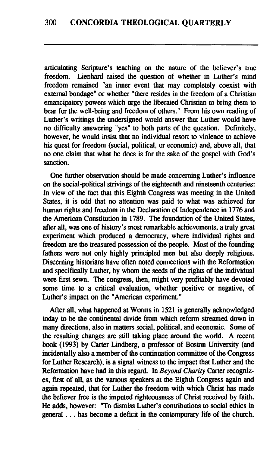articulating Scripture's teaching on the nature of the believer's true freedom. Lienhard raised the question of whether in Luther's mind freedom remained "an inner event that may completely coexist with external bondage" or whether "there resides in the freedom of a Christian emancipatory powers which urge the liberated Christian to bring them to bear for the well-being and freedom of others." From his own reading of Luther's writings the undersigned would answer that Luther would have no difficulty answering "yes" to both parts of the question. Definitely, however, he would insist that no individual resort to violence to achieve his quest for freedom (social, political, or economic) and, above all, that no one claim that what he does is for the sake of the gospel with God's sanction.

One further observation should be made concerning Luther's influence on the social-political strivings of the eighteenth and nineteenth centuries: In view of the fact that this Eighth Congress was meeting in the United States, it is odd that no attention was paid to what was achieved for human rights and freedom in the Declaration of Independence in 1776 and the American Constitution in 1789. The foundation of the United States, after all, was one of history's most remarkable achievements, a truly great experiment which produced a democracy, where individual rights and freedom **are** the treasured possession of the people. Most of the founding fathers were not only highly principled men but also deeply religious. Discerning historians have often noted connections with the Refonnation and specifically Luther, by whom the seeds of the rights of the individual were first sewn. The congress, then, might very profitably have devoted some time to a critical evaluation, whether positive or negative, of Luther's impact on the "American experiment."

After all, what happened at Worms in 1521 is generally acknowledged today to be the continental divide from which reform streamed down in many directions, also in matters social, political, and economic. Some of the resulting changes **are** still taking place around the world. A recent book (1993) by Carter Lindberg, a professor of Boston University (and incidentally also a member of the continuation committee of the Congress for Luther Research), is a signal witness to the impact that Luther and the Reformation have had in this regard. In Beyond *Charity* Carter recognizes, first of all, as the various speakers at the Eighth Congress again and again repeated, that for Luther **the** freedom with which Christ has made the believer free is the imputed righteousness of Christ received by faith. He adds, however: "To dismiss Luther's contributions to social ethics in general . . . has become a deficit in the contemporary life of the chuch.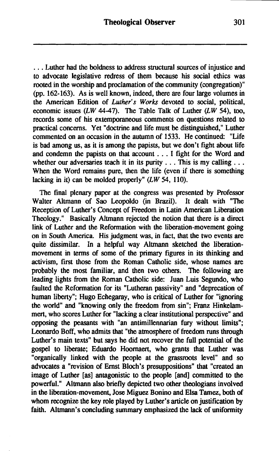. . . Luther had the boldness to address structural sources of injustice and to advocate legislative redress of them because his social ethics was rooted in the worship and proclamation of the community (congregation)"  $(pp. 162-163)$ . As is well known, indeed, there are four large volumes in the American Edition of Lufher's Works devoted to social, political, economic issues (LW 44-47). The Table Talk of Luther (LW 54), **too,**  records some of his extemporaneous comments on questions related to practical concerns. Yet "doctrine and life must be distinguished," Luther commented on an occasion in the autumn of 1533. He continued: "Life is bad among us, as it is among the papists, but we don't fight about life and condemn the papists on that account . . . I fight for the Word and whether our adversaries teach it in its purity . . . This is my calling . . . When the Word remains pure, then the life (even if there is something lacking in it) can be molded properly"  $(LW 54, 110)$ .

The final plenary paper at the congress was presented by Professor Walter Altmann of Sao Leopoldo (in Brazil). It dealt with "The Reception of Luther's Concept of Freedom in Latin American Liberation Theology." Basically Altmann rejected the notion that there is a direct link of Luther and the Reformation with the liberation-movement going on in South America. His judgment was, in fact, that the two events **are**  quite dissimilar. In a helpful way Altmann sketched the liberationmovement in terms of some of the primary figures in its thinking and activism, first those from the Roman Catholic side, whose names are probably the most familiar, and then two others. The following **are**  leading lights from the Roman Catholic side: Juan Luis Segundo, who faulted the Reformation for its "Lutheran passivity" and "deprecation of human liberty"; Hugo Echegaray, who is critical of Luther for "ignoring the world" and "knowing only the freedom from sin"; Franz Hinkelammert, who scores Luther for "lacking a clear institutional perspective" and opposing the peasants with "an antimillennarian fury without limits"; Leonardo Boff, who admits that "the atmosphere of freedom runs through Luther's main texts" but says he did not recover the full potential of the gospel to liberate; Eduardo Hoornaert, who **grants** that Luther was "organically linked with the people at the grassroots level" and so advocates a "revision of Ernst Bloch's presuppositions" that "created an image of Luther [as] antagonistic to the people [and] committed to the powerful." Altmann also briefly depicted two other theologians involved in the liberation-movement, Jose Miguez Bonino and Elsa **Tamez,** both of whom recognize the key role played by Luther's article on justification by faith. Altmann's concluding summary emphasized the lack of uniformity